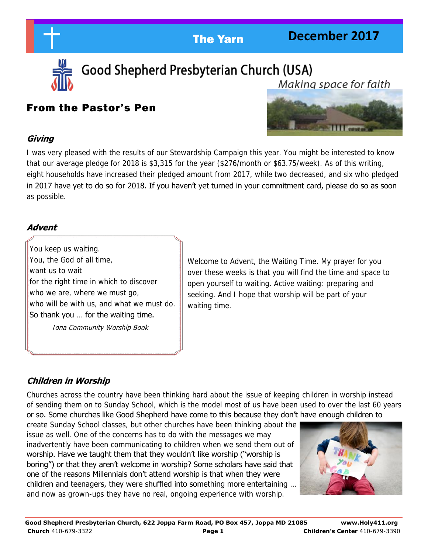**December 2017** 



Good Shepherd Presbyterian Church (USA) Makina space for faith

## From the Pastor's Pen



I was very pleased with the results of our Stewardship Campaign this year. You might be interested to know that our average pledge for 2018 is \$3,315 for the year (\$276/month or \$63.75/week). As of this writing, eight households have increased their pledged amount from 2017, while two decreased, and six who pledged in 2017 have yet to do so for 2018. If you haven't yet turned in your commitment card, please do so as soon as possible.

## **Advent**

**Giving** 

 You keep us waiting. You, the God of all time, want us to wait for the right time in which to discover who we are, where we must go, who will be with us, and what we must do. So thank you … for the waiting time.

Iona Community Worship Book

Welcome to Advent, the Waiting Time. My prayer for you over these weeks is that you will find the time and space to open yourself to waiting. Active waiting: preparing and seeking. And I hope that worship will be part of your waiting time.

## **Children in Worship**

Churches across the country have been thinking hard about the issue of keeping children in worship instead of sending them on to Sunday School, which is the model most of us have been used to over the last 60 years or so. Some churches like Good Shepherd have come to this because they don't have enough children to

create Sunday School classes, but other churches have been thinking about the issue as well. One of the concerns has to do with the messages we may inadvertently have been communicating to children when we send them out of worship. Have we taught them that they wouldn't like worship ("worship is boring") or that they aren't welcome in worship? Some scholars have said that one of the reasons Millennials don't attend worship is that when they were children and teenagers, they were shuffled into something more entertaining … and now as grown-ups they have no real, ongoing experience with worship.

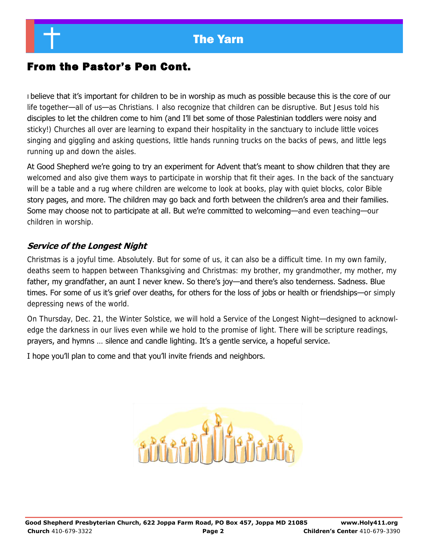## From the Pastor's Pen Cont.

I believe that it's important for children to be in worship as much as possible because this is the core of our life together—all of us—as Christians. I also recognize that children can be disruptive. But Jesus told his disciples to let the children come to him (and I'll bet some of those Palestinian toddlers were noisy and sticky!) Churches all over are learning to expand their hospitality in the sanctuary to include little voices singing and giggling and asking questions, little hands running trucks on the backs of pews, and little legs running up and down the aisles.

At Good Shepherd we're going to try an experiment for Advent that's meant to show children that they are welcomed and also give them ways to participate in worship that fit their ages. In the back of the sanctuary will be a table and a rug where children are welcome to look at books, play with quiet blocks, color Bible story pages, and more. The children may go back and forth between the children's area and their families. Some may choose not to participate at all. But we're committed to welcoming—and even teaching—our children in worship.

## **Service of the Longest Night**

Christmas is a joyful time. Absolutely. But for some of us, it can also be a difficult time. In my own family, deaths seem to happen between Thanksgiving and Christmas: my brother, my grandmother, my mother, my father, my grandfather, an aunt I never knew. So there's joy—and there's also tenderness. Sadness. Blue times. For some of us it's grief over deaths, for others for the loss of jobs or health or friendships—or simply depressing news of the world.

On Thursday, Dec. 21, the Winter Solstice, we will hold a Service of the Longest Night—designed to acknowledge the darkness in our lives even while we hold to the promise of light. There will be scripture readings, prayers, and hymns … silence and candle lighting. It's a gentle service, a hopeful service.

I hope you'll plan to come and that you'll invite friends and neighbors.

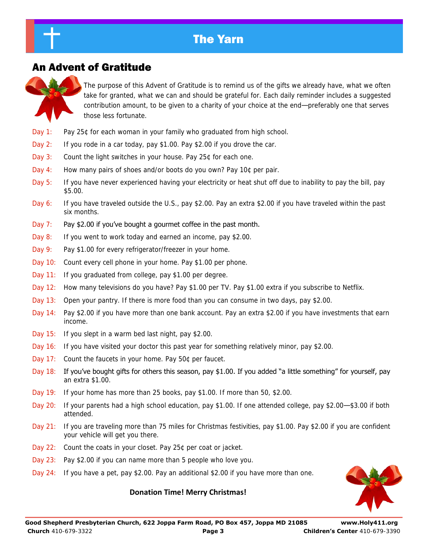## An Advent of Gratitude

The purpose of this Advent of Gratitude is to remind us of the gifts we already have, what we often take for granted, what we can and should be grateful for. Each daily reminder includes a suggested contribution amount, to be given to a charity of your choice at the end—preferably one that serves those less fortunate.

- Day 1: Pay 25¢ for each woman in your family who graduated from high school.
- Day 2: If you rode in a car today, pay \$1.00. Pay \$2.00 if you drove the car.
- Day 3: Count the light switches in your house. Pay 25¢ for each one.
- Day 4: How many pairs of shoes and/or boots do you own? Pay 10¢ per pair.
- Day 5: If you have never experienced having your electricity or heat shut off due to inability to pay the bill, pay \$5.00.
- Day 6: If you have traveled outside the U.S., pay \$2.00. Pay an extra \$2.00 if you have traveled within the past six months.
- Day 7: Pay \$2.00 if you've bought a gourmet coffee in the past month.
- Day 8: If you went to work today and earned an income, pay \$2.00.
- Day 9: Pay \$1.00 for every refrigerator/freezer in your home.
- Day 10: Count every cell phone in your home. Pay \$1.00 per phone.
- Day 11: If you graduated from college, pay \$1.00 per degree.
- Day 12: How many televisions do you have? Pay \$1.00 per TV. Pay \$1.00 extra if you subscribe to Netflix.
- Day 13: Open your pantry. If there is more food than you can consume in two days, pay \$2.00.
- Day 14: Pay \$2.00 if you have more than one bank account. Pay an extra \$2.00 if you have investments that earn income.
- Day 15: If you slept in a warm bed last night, pay \$2.00.
- Day 16: If you have visited your doctor this past year for something relatively minor, pay \$2.00.
- Day 17: Count the faucets in your home. Pay 50¢ per faucet.
- Day 18: If you've bought gifts for others this season, pay \$1.00. If you added "a little something" for yourself, pay an extra \$1.00.
- Day 19: If your home has more than 25 books, pay \$1.00. If more than 50, \$2.00.
- Day 20: If your parents had a high school education, pay \$1.00. If one attended college, pay \$2.00—\$3.00 if both attended.
- Day 21: If you are traveling more than 75 miles for Christmas festivities, pay \$1.00. Pay \$2.00 if you are confident your vehicle will get you there.
- Day 22: Count the coats in your closet. Pay 25¢ per coat or jacket.
- Day 23: Pay \$2.00 if you can name more than 5 people who love you.
- Day 24: If you have a pet, pay \$2.00. Pay an additional \$2.00 if you have more than one.

### **Donation Time! Merry Christmas!**

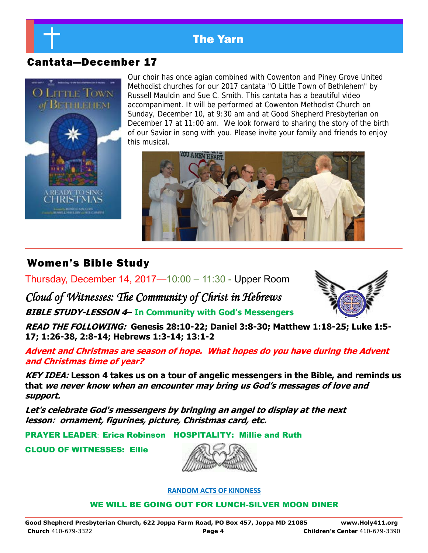

## Cantata—December 17



Our choir has once agian combined with Cowenton and Piney Grove United Methodist churches for our 2017 cantata "O Little Town of Bethlehem" by Russell Mauldin and Sue C. Smith. This cantata has a beautiful video accompaniment. It will be performed at Cowenton Methodist Church on Sunday, December 10, at 9:30 am and at Good Shepherd Presbyterian on December 17 at 11:00 am. We look forward to sharing the story of the birth of our Savior in song with you. Please invite your family and friends to enjoy this musical.



## Women's Bible Study

Thursday, December 14, 2017—10:00 – 11:30 - Upper Room

*Cloud of Witnesses: The Community of Christ in Hebrews*  **BIBLE STUDY-LESSON 4– In Community with God's Messengers**



**READ THE FOLLOWING: Genesis 28:10-22; Daniel 3:8-30; Matthew 1:18-25; Luke 1:5- 17; 1:26-38, 2:8-14; Hebrews 1:3-14; 13:1-2** 

**Advent and Christmas are season of hope. What hopes do you have during the Advent and Christmas time of year?** 

**KEY IDEA: Lesson 4 takes us on a tour of angelic messengers in the Bible, and reminds us that we never know when an encounter may bring us God's messages of love and support.** 

**Let's celebrate God's messengers by bringing an angel to display at the next lesson: ornament, figurines, picture, Christmas card, etc.** 

PRAYER LEADER: Erica Robinson HOSPITALITY: Millie and Ruth

CLOUD OF WITNESSES: Ellie



### **RANDOM ACTS OF KINDNESS**

WE WILL BE GOING OUT FOR LUNCH-SILVER MOON DINER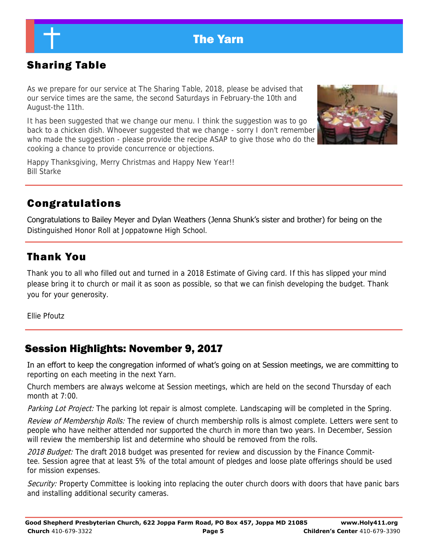# Sharing Table

As we prepare for our service at The Sharing Table, 2018, please be advised that our service times are the same, the second Saturdays in February-the 10th and August-the 11th.

It has been suggested that we change our menu. I think the suggestion was to go back to a chicken dish. Whoever suggested that we change - sorry I don't remember who made the suggestion - please provide the recipe ASAP to give those who do the cooking a chance to provide concurrence or objections.



Happy Thanksgiving, Merry Christmas and Happy New Year!! Bill Starke

## Congratulations

Congratulations to Bailey Meyer and Dylan Weathers (Jenna Shunk's sister and brother) for being on the Distinguished Honor Roll at Joppatowne High School.

## Thank You

Thank you to all who filled out and turned in a 2018 Estimate of Giving card. If this has slipped your mind please bring it to church or mail it as soon as possible, so that we can finish developing the budget. Thank you for your generosity.

Ellie Pfoutz

## Session Highlights: November 9, 2017

In an effort to keep the congregation informed of what's going on at Session meetings, we are committing to reporting on each meeting in the next Yarn.

Church members are always welcome at Session meetings, which are held on the second Thursday of each month at 7:00.

Parking Lot Project: The parking lot repair is almost complete. Landscaping will be completed in the Spring.

Review of Membership Rolls: The review of church membership rolls is almost complete. Letters were sent to people who have neither attended nor supported the church in more than two years. In December, Session will review the membership list and determine who should be removed from the rolls.

2018 Budget: The draft 2018 budget was presented for review and discussion by the Finance Committee. Session agree that at least 5% of the total amount of pledges and loose plate offerings should be used for mission expenses.

Security: Property Committee is looking into replacing the outer church doors with doors that have panic bars and installing additional security cameras.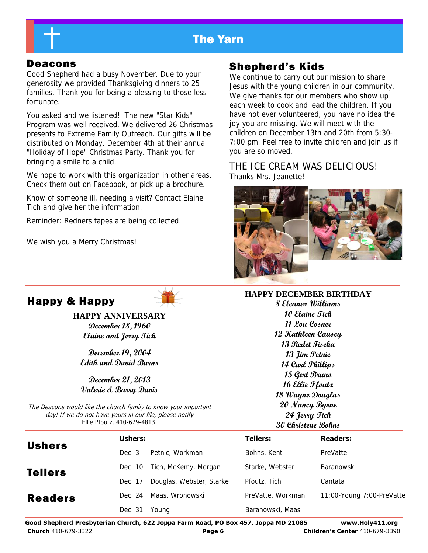

Good Shepherd had a busy November. Due to your generosity we provided Thanksgiving dinners to 25 families. Thank you for being a blessing to those less fortunate.

You asked and we listened! The new "Star Kids" Program was well received. We delivered 26 Christmas presents to Extreme Family Outreach. Our gifts will be distributed on Monday, December 4th at their annual "Holiday of Hope" Christmas Party. Thank you for bringing a smile to a child.

We hope to work with this organization in other areas. Check them out on Facebook, or pick up a brochure.

Know of someone ill, needing a visit? Contact Elaine Tich and give her the information.

Reminder: Redners tapes are being collected.

We wish you a Merry Christmas!

## Deacons Shepherd's Kids

We continue to carry out our mission to share Jesus with the young children in our community. We give thanks for our members who show up each week to cook and lead the children. If you have not ever volunteered, you have no idea the joy you are missing. We will meet with the children on December 13th and 20th from 5:30- 7:00 pm. Feel free to invite children and join us if you are so moved.

THE ICE CREAM WAS DELICIOUS! Thanks Mrs. Jeanette!



### **HAPPY DECEMBER BIRTHDAY**

**8 Eleanor Williams 10 Elaine Tich 11 Lou Cosner 12 Kathleen Causey 13 Redet Fiseha 13 Jim Petnic 14 Carl Phillips 15 Gert Bruno 16 Ellie Pfoutz 18 Wayne Douglas 20 Nancy Byrne 24 Jerry Tich 30 Christene Bohns** 

| <b>Happy &amp; Happy</b> |  |  |
|--------------------------|--|--|
|--------------------------|--|--|

**HAPPY ANNIVERSARY December 18, 1960 Elaine and Jerry Tich** 

**December 19, 2004 Edith and David Burns** 

**December 21, 2013 Valerie & Barry Davis** 

The Deacons would like the church family to know your important day! If we do not have yours in our file, please notify Ellie Pfoutz, 410-679-4813.

|                | Ushers: |                              | <b>Tellers:</b>   | <b>Readers:</b>           |
|----------------|---------|------------------------------|-------------------|---------------------------|
| <b>Ushers</b>  | Dec. 3  | Petnic, Workman              | Bohns, Kent       | PreVatte                  |
| <b>Tellers</b> |         | Dec. 10 Tich, McKemy, Morgan | Starke, Webster   | Baranowski                |
|                | Dec. 17 | Douglas, Webster, Starke     | Pfoutz, Tich      | Cantata                   |
| <b>Readers</b> | Dec. 24 | Maas, Wronowski              | PreVatte, Workman | 11:00-Young 7:00-PreVatte |
|                | Dec. 31 | Young                        | Baranowski, Maas  |                           |

**Good Shepherd Presbyterian Church, 622 Joppa Farm Road, PO Box 457, Joppa MD 21085 www.Holy411.org Church** 410-679-3322 **Page 6 Children's Center** 410-679-3390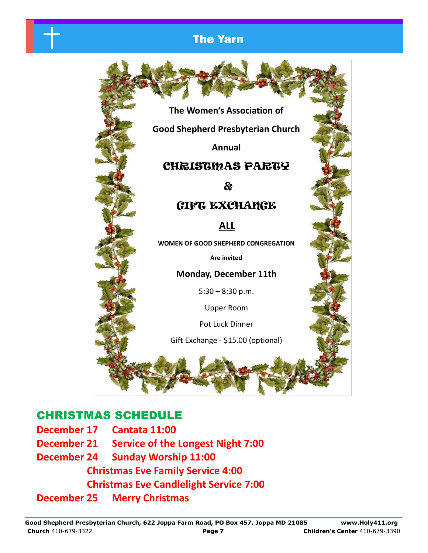

## CHRISTMAS PARTY

&

## GIFT EXCHANGE

**ALL**

**WOMEN OF GOOD SHEPHERD CONGREGATION** 

**Are invited** 

### **Monday, December 11th**

 $5:30 - 8:30$  p.m.

Upper Room

Pot Luck Dinner

Gift Exchange - \$15.00 (optional)

ĺ

## CHRISTMAS SCHEDULE

**December 17 Cantata 11:00 December 21 Service of the Longest Night 7:00 December 24 Sunday Worship 11:00 Christmas Eve Family Service 4:00 Christmas Eve Candlelight Service 7:00 December 25 Merry Christmas**